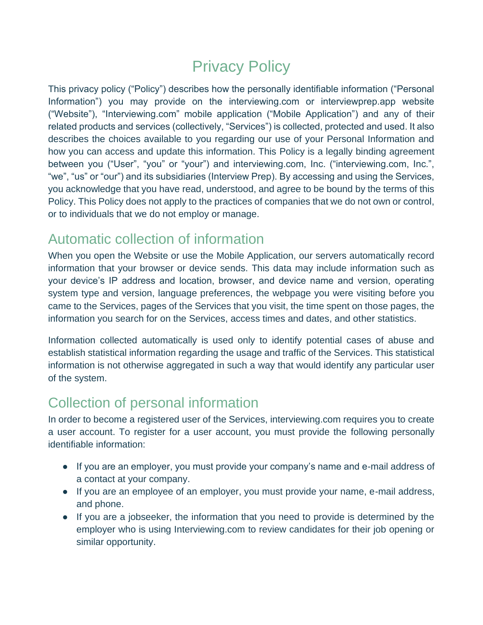# Privacy Policy

This privacy policy ("Policy") describes how the personally identifiable information ("Personal Information") you may provide on the interviewing.com or interviewprep.app website ("Website"), "Interviewing.com" mobile application ("Mobile Application") and any of their related products and services (collectively, "Services") is collected, protected and used. It also describes the choices available to you regarding our use of your Personal Information and how you can access and update this information. This Policy is a legally binding agreement between you ("User", "you" or "your") and interviewing.com, Inc. ("interviewing.com, Inc.", "we", "us" or "our") and its subsidiaries (Interview Prep). By accessing and using the Services, you acknowledge that you have read, understood, and agree to be bound by the terms of this Policy. This Policy does not apply to the practices of companies that we do not own or control, or to individuals that we do not employ or manage.

### Automatic collection of information

When you open the Website or use the Mobile Application, our servers automatically record information that your browser or device sends. This data may include information such as your device's IP address and location, browser, and device name and version, operating system type and version, language preferences, the webpage you were visiting before you came to the Services, pages of the Services that you visit, the time spent on those pages, the information you search for on the Services, access times and dates, and other statistics.

Information collected automatically is used only to identify potential cases of abuse and establish statistical information regarding the usage and traffic of the Services. This statistical information is not otherwise aggregated in such a way that would identify any particular user of the system.

### Collection of personal information

In order to become a registered user of the Services, interviewing.com requires you to create a user account. To register for a user account, you must provide the following personally identifiable information:

- If you are an employer, you must provide your company's name and e-mail address of a contact at your company.
- If you are an employee of an employer, you must provide your name, e-mail address, and phone.
- If you are a jobseeker, the information that you need to provide is determined by the employer who is using Interviewing.com to review candidates for their job opening or similar opportunity.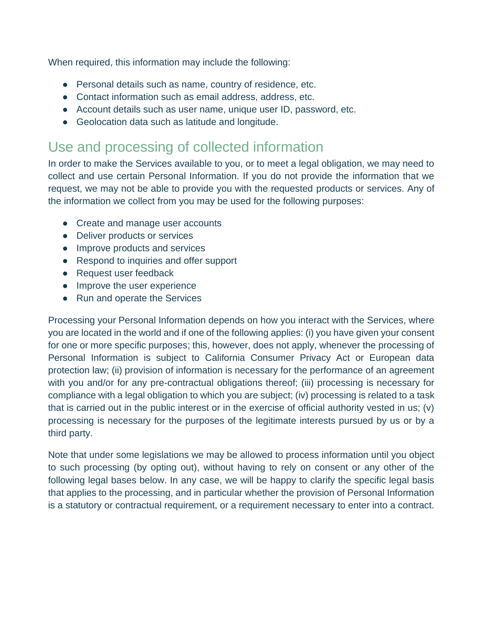When required, this information may include the following:

- Personal details such as name, country of residence, etc.
- Contact information such as email address, address, etc.
- Account details such as user name, unique user ID, password, etc.
- Geolocation data such as latitude and longitude.

### Use and processing of collected information

In order to make the Services available to you, or to meet a legal obligation, we may need to collect and use certain Personal Information. If you do not provide the information that we request, we may not be able to provide you with the requested products or services. Any of the information we collect from you may be used for the following purposes:

- Create and manage user accounts
- Deliver products or services
- Improve products and services
- Respond to inquiries and offer support
- Request user feedback
- Improve the user experience
- Run and operate the Services

Processing your Personal Information depends on how you interact with the Services, where you are located in the world and if one of the following applies: (i) you have given your consent for one or more specific purposes; this, however, does not apply, whenever the processing of Personal Information is subject to California Consumer Privacy Act or European data protection law; (ii) provision of information is necessary for the performance of an agreement with you and/or for any pre-contractual obligations thereof; (iii) processing is necessary for compliance with a legal obligation to which you are subject; (iv) processing is related to a task that is carried out in the public interest or in the exercise of official authority vested in us; (v) processing is necessary for the purposes of the legitimate interests pursued by us or by a third party.

Note that under some legislations we may be allowed to process information until you object to such processing (by opting out), without having to rely on consent or any other of the following legal bases below. In any case, we will be happy to clarify the specific legal basis that applies to the processing, and in particular whether the provision of Personal Information is a statutory or contractual requirement, or a requirement necessary to enter into a contract.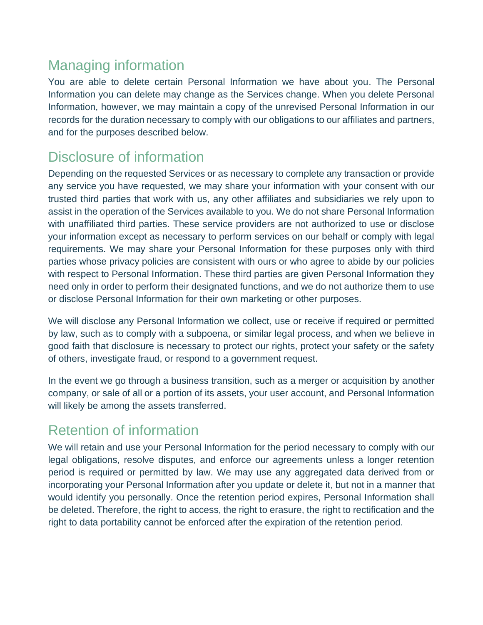# Managing information

You are able to delete certain Personal Information we have about you. The Personal Information you can delete may change as the Services change. When you delete Personal Information, however, we may maintain a copy of the unrevised Personal Information in our records for the duration necessary to comply with our obligations to our affiliates and partners, and for the purposes described below.

# Disclosure of information

Depending on the requested Services or as necessary to complete any transaction or provide any service you have requested, we may share your information with your consent with our trusted third parties that work with us, any other affiliates and subsidiaries we rely upon to assist in the operation of the Services available to you. We do not share Personal Information with unaffiliated third parties. These service providers are not authorized to use or disclose your information except as necessary to perform services on our behalf or comply with legal requirements. We may share your Personal Information for these purposes only with third parties whose privacy policies are consistent with ours or who agree to abide by our policies with respect to Personal Information. These third parties are given Personal Information they need only in order to perform their designated functions, and we do not authorize them to use or disclose Personal Information for their own marketing or other purposes.

We will disclose any Personal Information we collect, use or receive if required or permitted by law, such as to comply with a subpoena, or similar legal process, and when we believe in good faith that disclosure is necessary to protect our rights, protect your safety or the safety of others, investigate fraud, or respond to a government request.

In the event we go through a business transition, such as a merger or acquisition by another company, or sale of all or a portion of its assets, your user account, and Personal Information will likely be among the assets transferred.

# Retention of information

We will retain and use your Personal Information for the period necessary to comply with our legal obligations, resolve disputes, and enforce our agreements unless a longer retention period is required or permitted by law. We may use any aggregated data derived from or incorporating your Personal Information after you update or delete it, but not in a manner that would identify you personally. Once the retention period expires, Personal Information shall be deleted. Therefore, the right to access, the right to erasure, the right to rectification and the right to data portability cannot be enforced after the expiration of the retention period.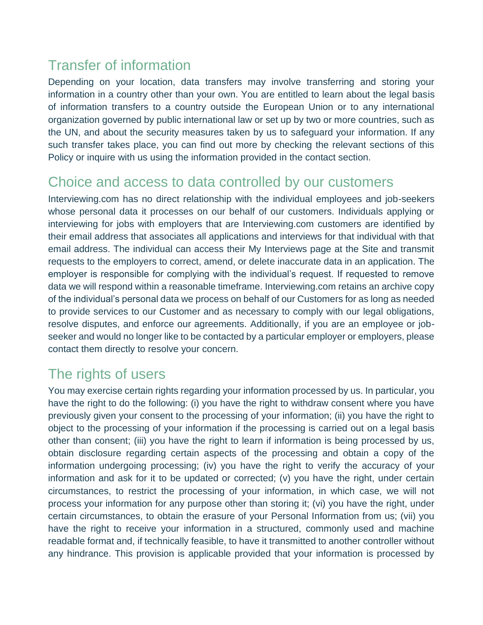# Transfer of information

Depending on your location, data transfers may involve transferring and storing your information in a country other than your own. You are entitled to learn about the legal basis of information transfers to a country outside the European Union or to any international organization governed by public international law or set up by two or more countries, such as the UN, and about the security measures taken by us to safeguard your information. If any such transfer takes place, you can find out more by checking the relevant sections of this Policy or inquire with us using the information provided in the contact section.

#### Choice and access to data controlled by our customers

Interviewing.com has no direct relationship with the individual employees and job-seekers whose personal data it processes on our behalf of our customers. Individuals applying or interviewing for jobs with employers that are Interviewing.com customers are identified by their email address that associates all applications and interviews for that individual with that email address. The individual can access their My Interviews page at the Site and transmit requests to the employers to correct, amend, or delete inaccurate data in an application. The employer is responsible for complying with the individual's request. If requested to remove data we will respond within a reasonable timeframe. Interviewing.com retains an archive copy of the individual's personal data we process on behalf of our Customers for as long as needed to provide services to our Customer and as necessary to comply with our legal obligations, resolve disputes, and enforce our agreements. Additionally, if you are an employee or jobseeker and would no longer like to be contacted by a particular employer or employers, please contact them directly to resolve your concern.

### The rights of users

You may exercise certain rights regarding your information processed by us. In particular, you have the right to do the following: (i) you have the right to withdraw consent where you have previously given your consent to the processing of your information; (ii) you have the right to object to the processing of your information if the processing is carried out on a legal basis other than consent; (iii) you have the right to learn if information is being processed by us, obtain disclosure regarding certain aspects of the processing and obtain a copy of the information undergoing processing; (iv) you have the right to verify the accuracy of your information and ask for it to be updated or corrected; (v) you have the right, under certain circumstances, to restrict the processing of your information, in which case, we will not process your information for any purpose other than storing it; (vi) you have the right, under certain circumstances, to obtain the erasure of your Personal Information from us; (vii) you have the right to receive your information in a structured, commonly used and machine readable format and, if technically feasible, to have it transmitted to another controller without any hindrance. This provision is applicable provided that your information is processed by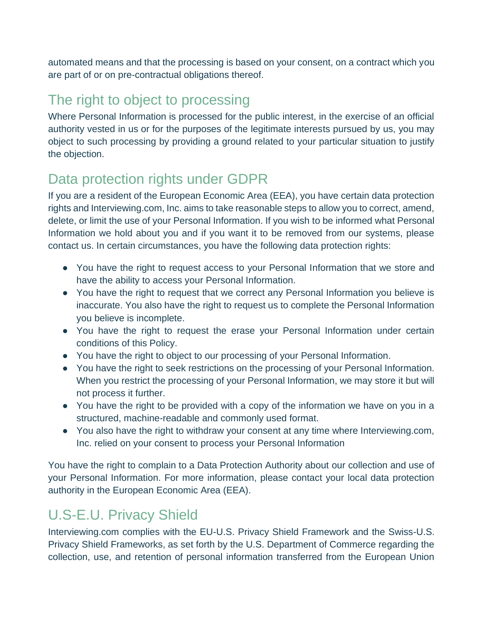automated means and that the processing is based on your consent, on a contract which you are part of or on pre-contractual obligations thereof.

### The right to object to processing

Where Personal Information is processed for the public interest, in the exercise of an official authority vested in us or for the purposes of the legitimate interests pursued by us, you may object to such processing by providing a ground related to your particular situation to justify the objection.

### Data protection rights under GDPR

If you are a resident of the European Economic Area (EEA), you have certain data protection rights and Interviewing.com, Inc. aims to take reasonable steps to allow you to correct, amend, delete, or limit the use of your Personal Information. If you wish to be informed what Personal Information we hold about you and if you want it to be removed from our systems, please contact us. In certain circumstances, you have the following data protection rights:

- You have the right to request access to your Personal Information that we store and have the ability to access your Personal Information.
- You have the right to request that we correct any Personal Information you believe is inaccurate. You also have the right to request us to complete the Personal Information you believe is incomplete.
- You have the right to request the erase your Personal Information under certain conditions of this Policy.
- You have the right to object to our processing of your Personal Information.
- You have the right to seek restrictions on the processing of your Personal Information. When you restrict the processing of your Personal Information, we may store it but will not process it further.
- You have the right to be provided with a copy of the information we have on you in a structured, machine-readable and commonly used format.
- You also have the right to withdraw your consent at any time where Interviewing.com, Inc. relied on your consent to process your Personal Information

You have the right to complain to a Data Protection Authority about our collection and use of your Personal Information. For more information, please contact your local data protection authority in the European Economic Area (EEA).

# U.S-E.U. Privacy Shield

Interviewing.com complies with the EU-U.S. Privacy Shield Framework and the Swiss-U.S. Privacy Shield Frameworks, as set forth by the U.S. Department of Commerce regarding the collection, use, and retention of personal information transferred from the European Union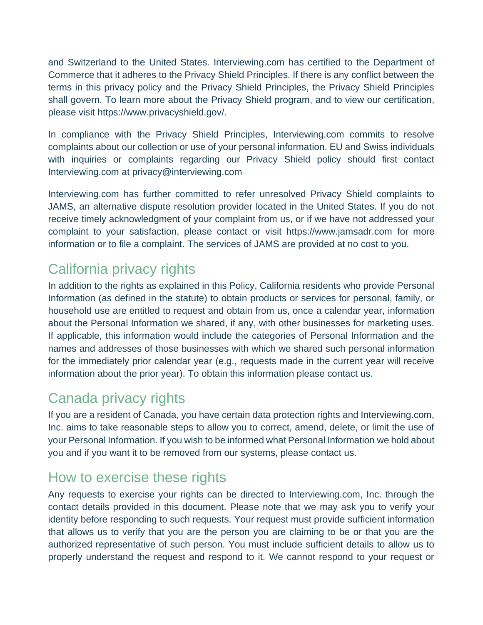and Switzerland to the United States. Interviewing.com has certified to the Department of Commerce that it adheres to the Privacy Shield Principles. If there is any conflict between the terms in this privacy policy and the Privacy Shield Principles, the Privacy Shield Principles shall govern. To learn more about the Privacy Shield program, and to view our certification, please visit https://www.privacyshield.gov/.

In compliance with the Privacy Shield Principles, Interviewing.com commits to resolve complaints about our collection or use of your personal information. EU and Swiss individuals with inquiries or complaints regarding our Privacy Shield policy should first contact Interviewing.com at privacy@interviewing.com

Interviewing.com has further committed to refer unresolved Privacy Shield complaints to JAMS, an alternative dispute resolution provider located in the United States. If you do not receive timely acknowledgment of your complaint from us, or if we have not addressed your complaint to your satisfaction, please contact or visit https://www.jamsadr.com for more information or to file a complaint. The services of JAMS are provided at no cost to you.

### California privacy rights

In addition to the rights as explained in this Policy, California residents who provide Personal Information (as defined in the statute) to obtain products or services for personal, family, or household use are entitled to request and obtain from us, once a calendar year, information about the Personal Information we shared, if any, with other businesses for marketing uses. If applicable, this information would include the categories of Personal Information and the names and addresses of those businesses with which we shared such personal information for the immediately prior calendar year (e.g., requests made in the current year will receive information about the prior year). To obtain this information please contact us.

### Canada privacy rights

If you are a resident of Canada, you have certain data protection rights and Interviewing.com, Inc. aims to take reasonable steps to allow you to correct, amend, delete, or limit the use of your Personal Information. If you wish to be informed what Personal Information we hold about you and if you want it to be removed from our systems, please contact us.

### How to exercise these rights

Any requests to exercise your rights can be directed to Interviewing.com, Inc. through the contact details provided in this document. Please note that we may ask you to verify your identity before responding to such requests. Your request must provide sufficient information that allows us to verify that you are the person you are claiming to be or that you are the authorized representative of such person. You must include sufficient details to allow us to properly understand the request and respond to it. We cannot respond to your request or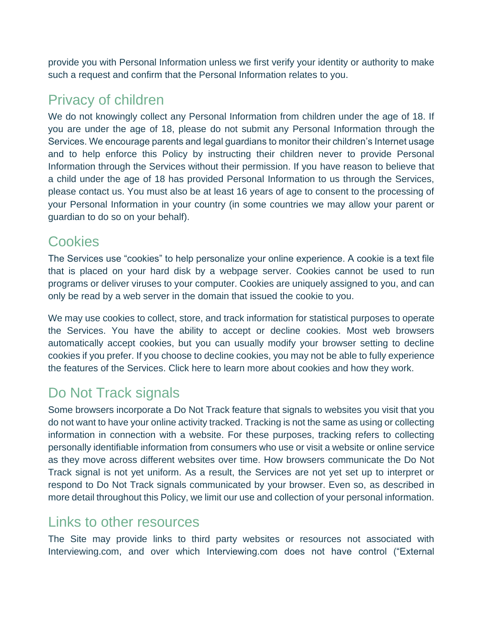provide you with Personal Information unless we first verify your identity or authority to make such a request and confirm that the Personal Information relates to you.

### Privacy of children

We do not knowingly collect any Personal Information from children under the age of 18. If you are under the age of 18, please do not submit any Personal Information through the Services. We encourage parents and legal guardians to monitor their children's Internet usage and to help enforce this Policy by instructing their children never to provide Personal Information through the Services without their permission. If you have reason to believe that a child under the age of 18 has provided Personal Information to us through the Services, please contact us. You must also be at least 16 years of age to consent to the processing of your Personal Information in your country (in some countries we may allow your parent or guardian to do so on your behalf).

#### Cookies

The Services use "cookies" to help personalize your online experience. A cookie is a text file that is placed on your hard disk by a webpage server. Cookies cannot be used to run programs or deliver viruses to your computer. Cookies are uniquely assigned to you, and can only be read by a web server in the domain that issued the cookie to you.

We may use cookies to collect, store, and track information for statistical purposes to operate the Services. You have the ability to accept or decline cookies. Most web browsers automatically accept cookies, but you can usually modify your browser setting to decline cookies if you prefer. If you choose to decline cookies, you may not be able to fully experience the features of the Services. Click here to learn more about cookies and how they work.

### Do Not Track signals

Some browsers incorporate a Do Not Track feature that signals to websites you visit that you do not want to have your online activity tracked. Tracking is not the same as using or collecting information in connection with a website. For these purposes, tracking refers to collecting personally identifiable information from consumers who use or visit a website or online service as they move across different websites over time. How browsers communicate the Do Not Track signal is not yet uniform. As a result, the Services are not yet set up to interpret or respond to Do Not Track signals communicated by your browser. Even so, as described in more detail throughout this Policy, we limit our use and collection of your personal information.

#### Links to other resources

The Site may provide links to third party websites or resources not associated with Interviewing.com, and over which Interviewing.com does not have control ("External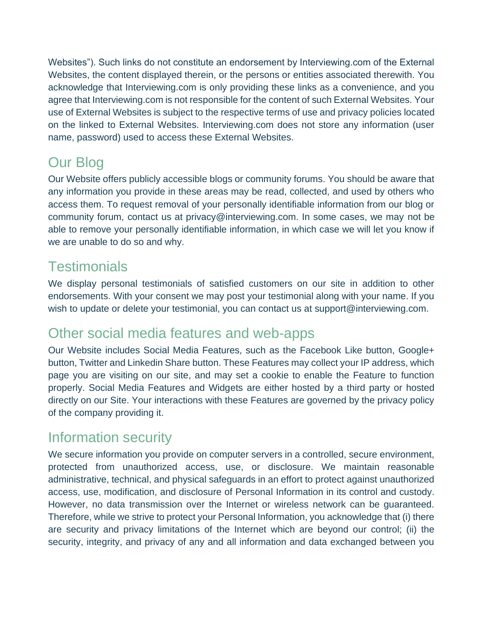Websites"). Such links do not constitute an endorsement by Interviewing.com of the External Websites, the content displayed therein, or the persons or entities associated therewith. You acknowledge that Interviewing.com is only providing these links as a convenience, and you agree that Interviewing.com is not responsible for the content of such External Websites. Your use of External Websites is subject to the respective terms of use and privacy policies located on the linked to External Websites. Interviewing.com does not store any information (user name, password) used to access these External Websites.

# Our Blog

Our Website offers publicly accessible blogs or community forums. You should be aware that any information you provide in these areas may be read, collected, and used by others who access them. To request removal of your personally identifiable information from our blog or community forum, contact us at privacy@interviewing.com. In some cases, we may not be able to remove your personally identifiable information, in which case we will let you know if we are unable to do so and why.

### **Testimonials**

We display personal testimonials of satisfied customers on our site in addition to other endorsements. With your consent we may post your testimonial along with your name. If you wish to update or delete your testimonial, you can contact us at support@interviewing.com.

#### Other social media features and web-apps

Our Website includes Social Media Features, such as the Facebook Like button, Google+ button, Twitter and Linkedin Share button. These Features may collect your IP address, which page you are visiting on our site, and may set a cookie to enable the Feature to function properly. Social Media Features and Widgets are either hosted by a third party or hosted directly on our Site. Your interactions with these Features are governed by the privacy policy of the company providing it.

#### Information security

We secure information you provide on computer servers in a controlled, secure environment, protected from unauthorized access, use, or disclosure. We maintain reasonable administrative, technical, and physical safeguards in an effort to protect against unauthorized access, use, modification, and disclosure of Personal Information in its control and custody. However, no data transmission over the Internet or wireless network can be guaranteed. Therefore, while we strive to protect your Personal Information, you acknowledge that (i) there are security and privacy limitations of the Internet which are beyond our control; (ii) the security, integrity, and privacy of any and all information and data exchanged between you